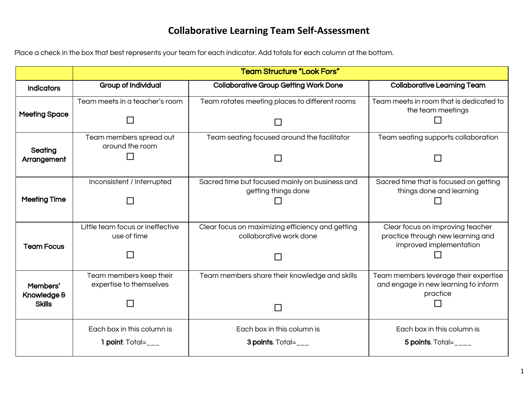## **Collaborative Learning Team Self-Assessment**

Place a check in the box that best represents your team for each indicator. Add totals for each column at the bottom.

|                      | <b>Team Structure "Look Fors"</b>                  |                                                                             |                                                                               |
|----------------------|----------------------------------------------------|-----------------------------------------------------------------------------|-------------------------------------------------------------------------------|
| <b>Indicators</b>    | <b>Group of Individual</b>                         | <b>Collaborative Group Getting Work Done</b>                                | <b>Collaborative Learning Team</b>                                            |
| <b>Meeting Space</b> | Team meets in a teacher's room                     | Team rotates meeting places to different rooms                              | Team meets in room that is dedicated to<br>the team meetings                  |
|                      |                                                    |                                                                             |                                                                               |
| Seating              | Team members spread out<br>around the room         | Team seating focused around the facilitator                                 | Team seating supports collaboration                                           |
| Arrangement          |                                                    |                                                                             |                                                                               |
| <b>Meeting Time</b>  | Inconsistent / Interrupted                         | Sacred time but focused mainly on business and<br>getting things done       | Sacred time that is focused on getting<br>things done and learning            |
|                      | ΙI                                                 |                                                                             |                                                                               |
|                      | Little team focus or ineffective<br>use of time    | Clear focus on maximizing efficiency and getting<br>collaborative work done | Clear focus on improving teacher<br>practice through new learning and         |
| <b>Team Focus</b>    |                                                    |                                                                             | improved implementation                                                       |
|                      | $\mathbf{L}$                                       |                                                                             |                                                                               |
| Members'             | Team members keep their<br>expertise to themselves | Team members share their knowledge and skills                               | Team members leverage their expertise<br>and engage in new learning to inform |
| Knowledge &          |                                                    |                                                                             | practice                                                                      |
| <b>Skills</b>        |                                                    |                                                                             |                                                                               |
|                      | Each box in this column is                         | Each box in this column is                                                  | Each box in this column is                                                    |
|                      | 1 point. $Total =$ ___                             | <b>3 points.</b> Total= $_{---}$                                            | 5 points. Total= $_{---}$                                                     |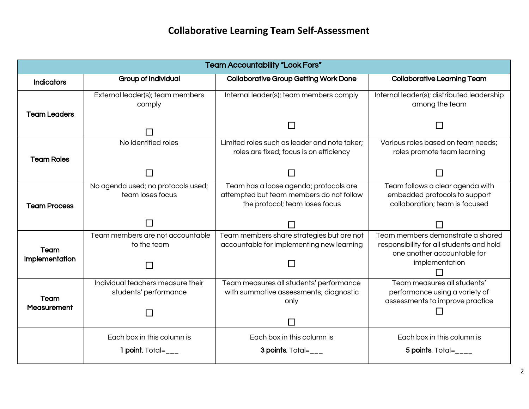## **Collaborative Learning Team Self-Assessment**

| <b>Team Accountability "Look Fors"</b> |                                                            |                                                                                                                      |                                                                                                              |
|----------------------------------------|------------------------------------------------------------|----------------------------------------------------------------------------------------------------------------------|--------------------------------------------------------------------------------------------------------------|
| <b>Indicators</b>                      | <b>Group of Individual</b>                                 | <b>Collaborative Group Getting Work Done</b>                                                                         | <b>Collaborative Learning Team</b>                                                                           |
| <b>Team Leaders</b>                    | External leader(s); team members<br>comply                 | Internal leader(s); team members comply                                                                              | Internal leader(s); distributed leadership<br>among the team                                                 |
|                                        |                                                            |                                                                                                                      |                                                                                                              |
| <b>Team Roles</b>                      | No identified roles                                        | Limited roles such as leader and note taker;<br>roles are fixed; focus is on efficiency                              | Various roles based on team needs;<br>roles promote team learning                                            |
|                                        |                                                            |                                                                                                                      |                                                                                                              |
| <b>Team Process</b>                    | No agenda used; no protocols used;<br>team loses focus     | Team has a loose agenda; protocols are<br>attempted but team members do not follow<br>the protocol; team loses focus | Team follows a clear agenda with<br>embedded protocols to support<br>collaboration; team is focused          |
|                                        |                                                            |                                                                                                                      |                                                                                                              |
| Team                                   | Team members are not accountable<br>to the team            | Team members share strategies but are not<br>accountable for implementing new learning                               | Team members demonstrate a shared<br>responsibility for all students and hold<br>one another accountable for |
| Implementation                         |                                                            |                                                                                                                      | implementation                                                                                               |
| Team<br><b>Measurement</b>             | Individual teachers measure their<br>students' performance | Team measures all students' performance<br>with summative assessments; diagnostic<br>only                            | Team measures all students'<br>performance using a variety of<br>assessments to improve practice             |
|                                        |                                                            |                                                                                                                      |                                                                                                              |
|                                        | Each box in this column is                                 | Each box in this column is                                                                                           | Each box in this column is                                                                                   |
|                                        | 1 point. $Total =$ ___                                     | <b>3 points.</b> Total= $_{---}$                                                                                     | 5 points. Total= $\_{---}$                                                                                   |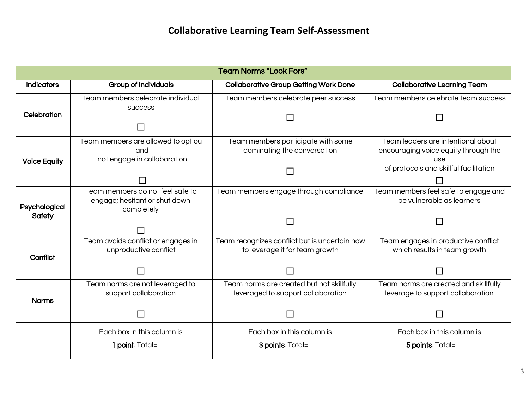| <b>Team Norms "Look Fors"</b>  |                                                                                 |                                                                                 |                                                                                   |
|--------------------------------|---------------------------------------------------------------------------------|---------------------------------------------------------------------------------|-----------------------------------------------------------------------------------|
| <b>Indicators</b>              | <b>Group of Individuals</b>                                                     | <b>Collaborative Group Getting Work Done</b>                                    | <b>Collaborative Learning Team</b>                                                |
| Celebration                    | Team members celebrate individual<br><b>SUCCESS</b>                             | Team members celebrate peer success                                             | Team members celebrate team success                                               |
|                                |                                                                                 |                                                                                 |                                                                                   |
| <b>Voice Equity</b>            | Team members are allowed to opt out<br>and<br>not engage in collaboration       | Team members participate with some<br>dominating the conversation               | Team leaders are intentional about<br>encouraging voice equity through the<br>use |
|                                |                                                                                 |                                                                                 | of protocols and skillful facilitation                                            |
| Psychological<br><b>Safety</b> | Team members do not feel safe to<br>engage; hesitant or shut down<br>completely | Team members engage through compliance                                          | Team members feel safe to engage and<br>be vulnerable as learners                 |
|                                |                                                                                 |                                                                                 |                                                                                   |
| Conflict                       | Team avoids conflict or engages in<br>unproductive conflict                     | Team recognizes conflict but is uncertain how<br>to leverage it for team growth | Team engages in productive conflict<br>which results in team growth               |
|                                |                                                                                 |                                                                                 |                                                                                   |
| <b>Norms</b>                   | Team norms are not leveraged to<br>support collaboration                        | Team norms are created but not skillfully<br>leveraged to support collaboration | Team norms are created and skillfully<br>leverage to support collaboration        |
|                                |                                                                                 |                                                                                 |                                                                                   |
|                                | Each box in this column is                                                      | Each box in this column is                                                      | Each box in this column is                                                        |
|                                | 1 point. $Total =$ ___                                                          | <b>3 points.</b> Total= $_{---}$                                                | 5 points. Total= $_{---}$                                                         |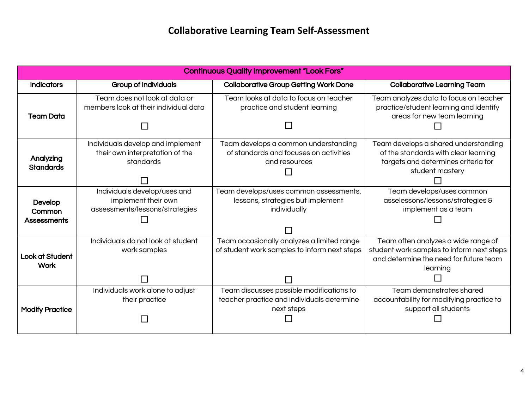| <b>Continuous Quality Improvement "Look Fors"</b> |                                                                                       |                                                                                                      |                                                                                                                                        |
|---------------------------------------------------|---------------------------------------------------------------------------------------|------------------------------------------------------------------------------------------------------|----------------------------------------------------------------------------------------------------------------------------------------|
| <b>Indicators</b>                                 | <b>Group of Individuals</b>                                                           | <b>Collaborative Group Getting Work Done</b>                                                         | <b>Collaborative Learning Team</b>                                                                                                     |
| <b>Team Data</b>                                  | Team does not look at data or<br>members look at their individual data                | Team looks at data to focus on teacher<br>practice and student learning                              | Team analyzes data to focus on teacher<br>practice/student learning and identify<br>areas for new team learning                        |
| Analyzing<br><b>Standards</b>                     | Individuals develop and implement<br>their own interpretation of the<br>standards     | Team develops a common understanding<br>of standards and focuses on activities<br>and resources      | Team develops a shared understanding<br>of the standards with clear learning<br>targets and determines criteria for<br>student mastery |
| Develop<br>Common<br><b>Assessments</b>           | Individuals develop/uses and<br>implement their own<br>assessments/lessons/strategies | Team develops/uses common assessments,<br>lessons, strategies but implement<br>individually          | Team develops/uses common<br>asselessons/lessons/strategies &<br>implement as a team                                                   |
| <b>Look at Student</b><br><b>Work</b>             | Individuals do not look at student<br>work samples                                    | Team occasionally analyzes a limited range<br>of student work samples to inform next steps           | Team often analyzes a wide range of<br>student work samples to inform next steps<br>and determine the need for future team<br>learning |
| <b>Modify Practice</b>                            | Individuals work alone to adjust<br>their practice                                    | Team discusses possible modifications to<br>teacher practice and individuals determine<br>next steps | Team demonstrates shared<br>accountability for modifying practice to<br>support all students                                           |